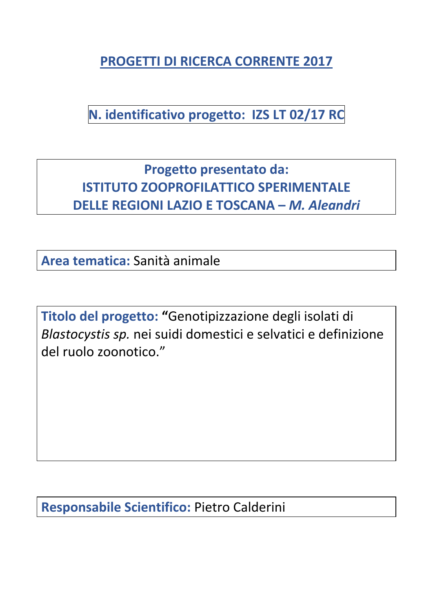**PROGETTI DI RICERCA CORRENTE 2017**

**N. identificativo progetto: IZS LT 02/17 RC**

**Progetto presentato da: ISTITUTO ZOOPROFILATTICO SPERIMENTALE DELLE REGIONI LAZIO E TOSCANA –** *M. Aleandri*

**Area tematica:** Sanità animale

**Titolo del progetto: "**Genotipizzazione degli isolati di *Blastocystis sp.* nei suidi domestici e selvatici e definizione del ruolo zoonotico."

**Responsabile Scientifico:** Pietro Calderini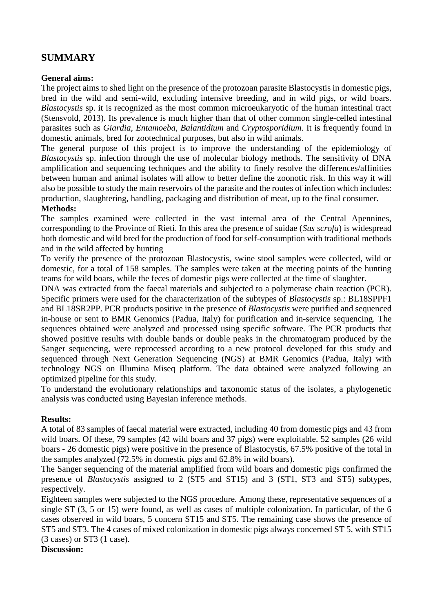# **SUMMARY**

## **General aims:**

The project aims to shed light on the presence of the protozoan parasite Blastocystis in domestic pigs, bred in the wild and semi-wild, excluding intensive breeding, and in wild pigs, or wild boars. *Blastocystis* sp. it is recognized as the most common microeukaryotic of the human intestinal tract (Stensvold, 2013). Its prevalence is much higher than that of other common single-celled intestinal parasites such as *Giardia*, *Entamoeba*, *Balantidium* and *Cryptosporidium*. It is frequently found in domestic animals, bred for zootechnical purposes, but also in wild animals.

The general purpose of this project is to improve the understanding of the epidemiology of *Blastocystis* sp. infection through the use of molecular biology methods. The sensitivity of DNA amplification and sequencing techniques and the ability to finely resolve the differences/affinities between human and animal isolates will allow to better define the zoonotic risk. In this way it will also be possible to study the main reservoirs of the parasite and the routes of infection which includes: production, slaughtering, handling, packaging and distribution of meat, up to the final consumer.

## **Methods:**

The samples examined were collected in the vast internal area of the Central Apennines, corresponding to the Province of Rieti. In this area the presence of suidae (*Sus scrofa*) is widespread both domestic and wild bred for the production of food for self-consumption with traditional methods and in the wild affected by hunting

To verify the presence of the protozoan Blastocystis, swine stool samples were collected, wild or domestic, for a total of 158 samples. The samples were taken at the meeting points of the hunting teams for wild boars, while the feces of domestic pigs were collected at the time of slaughter.

DNA was extracted from the faecal materials and subjected to a polymerase chain reaction (PCR). Specific primers were used for the characterization of the subtypes of *Blastocystis* sp.: BL18SPPF1 and BL18SR2PP. PCR products positive in the presence of *Blastocystis* were purified and sequenced in-house or sent to BMR Genomics (Padua, Italy) for purification and in-service sequencing. The sequences obtained were analyzed and processed using specific software. The PCR products that showed positive results with double bands or double peaks in the chromatogram produced by the Sanger sequencing, were reprocessed according to a new protocol developed for this study and sequenced through Next Generation Sequencing (NGS) at BMR Genomics (Padua, Italy) with technology NGS on Illumina Miseq platform. The data obtained were analyzed following an optimized pipeline for this study.

To understand the evolutionary relationships and taxonomic status of the isolates, a phylogenetic analysis was conducted using Bayesian inference methods.

#### **Results:**

A total of 83 samples of faecal material were extracted, including 40 from domestic pigs and 43 from wild boars. Of these, 79 samples (42 wild boars and 37 pigs) were exploitable. 52 samples (26 wild boars - 26 domestic pigs) were positive in the presence of Blastocystis, 67.5% positive of the total in the samples analyzed (72.5% in domestic pigs and 62.8% in wild boars).

The Sanger sequencing of the material amplified from wild boars and domestic pigs confirmed the presence of *Blastocystis* assigned to 2 (ST5 and ST15) and 3 (ST1, ST3 and ST5) subtypes, respectively.

Eighteen samples were subjected to the NGS procedure. Among these, representative sequences of a single ST (3, 5 or 15) were found, as well as cases of multiple colonization. In particular, of the 6 cases observed in wild boars, 5 concern ST15 and ST5. The remaining case shows the presence of ST5 and ST3. The 4 cases of mixed colonization in domestic pigs always concerned ST 5, with ST15 (3 cases) or ST3 (1 case).

#### **Discussion:**